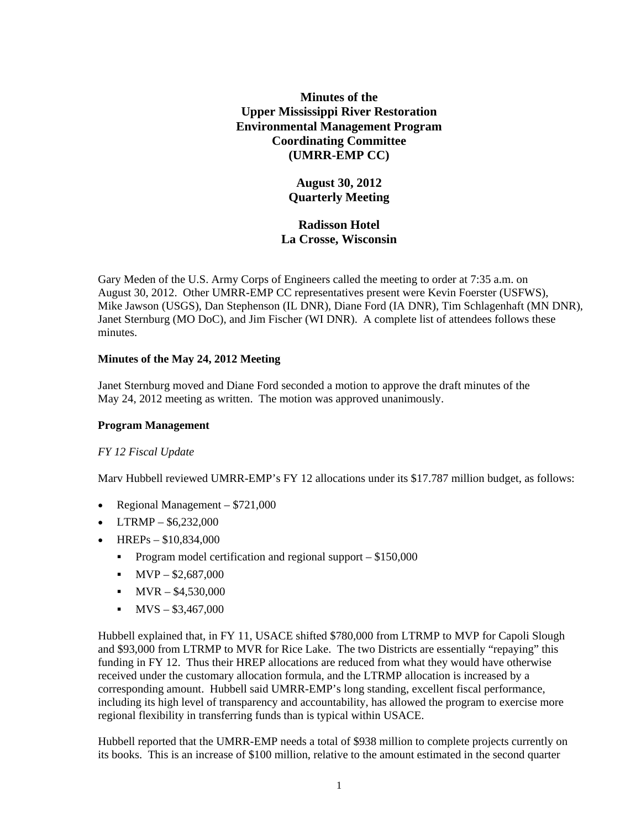**Minutes of the Upper Mississippi River Restoration Environmental Management Program Coordinating Committee (UMRR-EMP CC)**

> **August 30, 2012 Quarterly Meeting**

**Radisson Hotel La Crosse, Wisconsin**

Gary Meden of the U.S. Army Corps of Engineers called the meeting to order at 7:35 a.m. on August 30, 2012. Other UMRR-EMP CC representatives present were Kevin Foerster (USFWS), Mike Jawson (USGS), Dan Stephenson (IL DNR), Diane Ford (IA DNR), Tim Schlagenhaft (MN DNR), Janet Sternburg (MO DoC), and Jim Fischer (WI DNR). A complete list of attendees follows these minutes.

#### **Minutes of the May 24, 2012 Meeting**

Janet Sternburg moved and Diane Ford seconded a motion to approve the draft minutes of the May 24, 2012 meeting as written. The motion was approved unanimously.

#### **Program Management**

## *FY 12 Fiscal Update*

Marv Hubbell reviewed UMRR-EMP's FY 12 allocations under its \$17.787 million budget, as follows:

- Regional Management \$721,000
- LTRMP  $$6,232,000$
- HREPs  $$10,834,000$ 
	- **Program model certification and regional support \$150,000**
	- $\blacksquare$  MVP \$2,687,000
	- $\blacksquare$  MVR \$4,530,000
	- $\blacksquare$  MVS \$3,467,000

Hubbell explained that, in FY 11, USACE shifted \$780,000 from LTRMP to MVP for Capoli Slough and \$93,000 from LTRMP to MVR for Rice Lake. The two Districts are essentially "repaying" this funding in FY 12. Thus their HREP allocations are reduced from what they would have otherwise received under the customary allocation formula, and the LTRMP allocation is increased by a corresponding amount. Hubbell said UMRR-EMP's long standing, excellent fiscal performance, including its high level of transparency and accountability, has allowed the program to exercise more regional flexibility in transferring funds than is typical within USACE.

Hubbell reported that the UMRR-EMP needs a total of \$938 million to complete projects currently on its books. This is an increase of \$100 million, relative to the amount estimated in the second quarter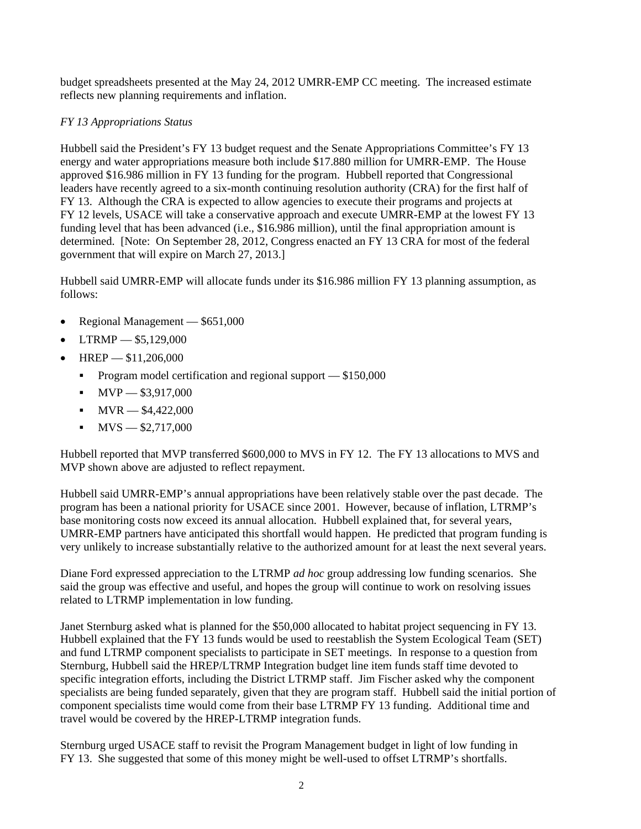budget spreadsheets presented at the May 24, 2012 UMRR-EMP CC meeting. The increased estimate reflects new planning requirements and inflation.

# *FY 13 Appropriations Status*

Hubbell said the President's FY 13 budget request and the Senate Appropriations Committee's FY 13 energy and water appropriations measure both include \$17.880 million for UMRR-EMP. The House approved \$16.986 million in FY 13 funding for the program. Hubbell reported that Congressional leaders have recently agreed to a six-month continuing resolution authority (CRA) for the first half of FY 13. Although the CRA is expected to allow agencies to execute their programs and projects at FY 12 levels, USACE will take a conservative approach and execute UMRR-EMP at the lowest FY 13 funding level that has been advanced (i.e., \$16.986 million), until the final appropriation amount is determined. [Note: On September 28, 2012, Congress enacted an FY 13 CRA for most of the federal government that will expire on March 27, 2013.]

Hubbell said UMRR-EMP will allocate funds under its \$16.986 million FY 13 planning assumption, as follows:

- Regional Management \$651,000
- LTRMP \$5,129,000
- $HREF$   $$11,206,000$ 
	- **Program model certification and regional support \$150,000**
	- $\blacksquare$  MVP  $-$  \$3,917,000
	- $\blacksquare$  MVR  $-$  \$4,422,000
	- $\blacksquare$  MVS  $-$  \$2,717,000

Hubbell reported that MVP transferred \$600,000 to MVS in FY 12. The FY 13 allocations to MVS and MVP shown above are adjusted to reflect repayment.

Hubbell said UMRR-EMP's annual appropriations have been relatively stable over the past decade. The program has been a national priority for USACE since 2001. However, because of inflation, LTRMP's base monitoring costs now exceed its annual allocation. Hubbell explained that, for several years, UMRR-EMP partners have anticipated this shortfall would happen. He predicted that program funding is very unlikely to increase substantially relative to the authorized amount for at least the next several years.

Diane Ford expressed appreciation to the LTRMP *ad hoc* group addressing low funding scenarios. She said the group was effective and useful, and hopes the group will continue to work on resolving issues related to LTRMP implementation in low funding.

Janet Sternburg asked what is planned for the \$50,000 allocated to habitat project sequencing in FY 13. Hubbell explained that the FY 13 funds would be used to reestablish the System Ecological Team (SET) and fund LTRMP component specialists to participate in SET meetings. In response to a question from Sternburg, Hubbell said the HREP/LTRMP Integration budget line item funds staff time devoted to specific integration efforts, including the District LTRMP staff. Jim Fischer asked why the component specialists are being funded separately, given that they are program staff. Hubbell said the initial portion of component specialists time would come from their base LTRMP FY 13 funding. Additional time and travel would be covered by the HREP-LTRMP integration funds.

Sternburg urged USACE staff to revisit the Program Management budget in light of low funding in FY 13. She suggested that some of this money might be well-used to offset LTRMP's shortfalls.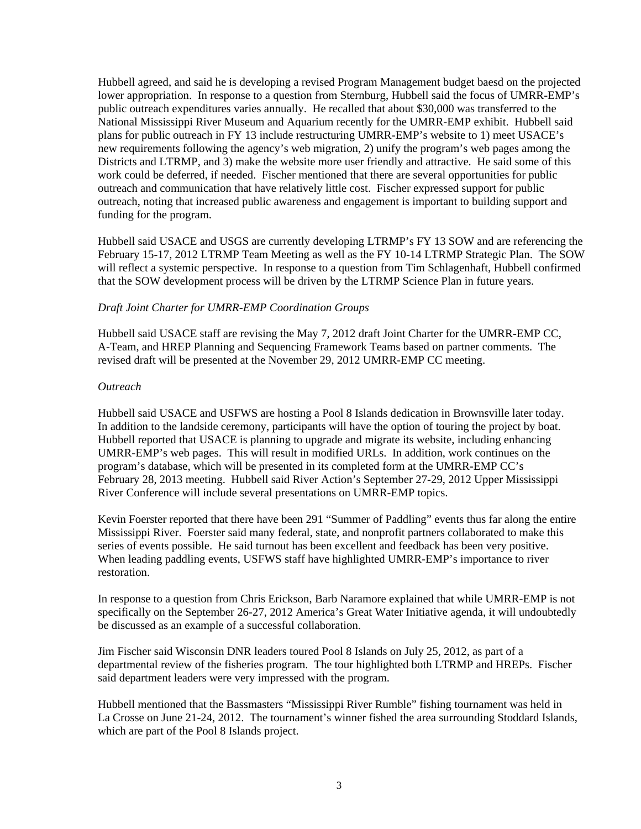Hubbell agreed, and said he is developing a revised Program Management budget baesd on the projected lower appropriation. In response to a question from Sternburg, Hubbell said the focus of UMRR-EMP's public outreach expenditures varies annually. He recalled that about \$30,000 was transferred to the National Mississippi River Museum and Aquarium recently for the UMRR-EMP exhibit. Hubbell said plans for public outreach in FY 13 include restructuring UMRR-EMP's website to 1) meet USACE's new requirements following the agency's web migration, 2) unify the program's web pages among the Districts and LTRMP, and 3) make the website more user friendly and attractive. He said some of this work could be deferred, if needed. Fischer mentioned that there are several opportunities for public outreach and communication that have relatively little cost. Fischer expressed support for public outreach, noting that increased public awareness and engagement is important to building support and funding for the program.

Hubbell said USACE and USGS are currently developing LTRMP's FY 13 SOW and are referencing the February 15-17, 2012 LTRMP Team Meeting as well as the FY 10-14 LTRMP Strategic Plan. The SOW will reflect a systemic perspective. In response to a question from Tim Schlagenhaft, Hubbell confirmed that the SOW development process will be driven by the LTRMP Science Plan in future years.

#### *Draft Joint Charter for UMRR-EMP Coordination Groups*

Hubbell said USACE staff are revising the May 7, 2012 draft Joint Charter for the UMRR-EMP CC, A-Team, and HREP Planning and Sequencing Framework Teams based on partner comments. The revised draft will be presented at the November 29, 2012 UMRR-EMP CC meeting.

#### *Outreach*

Hubbell said USACE and USFWS are hosting a Pool 8 Islands dedication in Brownsville later today. In addition to the landside ceremony, participants will have the option of touring the project by boat. Hubbell reported that USACE is planning to upgrade and migrate its website, including enhancing UMRR-EMP's web pages. This will result in modified URLs. In addition, work continues on the program's database, which will be presented in its completed form at the UMRR-EMP CC's February 28, 2013 meeting. Hubbell said River Action's September 27-29, 2012 Upper Mississippi River Conference will include several presentations on UMRR-EMP topics.

Kevin Foerster reported that there have been 291 "Summer of Paddling" events thus far along the entire Mississippi River. Foerster said many federal, state, and nonprofit partners collaborated to make this series of events possible. He said turnout has been excellent and feedback has been very positive. When leading paddling events, USFWS staff have highlighted UMRR-EMP's importance to river restoration.

In response to a question from Chris Erickson, Barb Naramore explained that while UMRR-EMP is not specifically on the September 26-27, 2012 America's Great Water Initiative agenda, it will undoubtedly be discussed as an example of a successful collaboration.

Jim Fischer said Wisconsin DNR leaders toured Pool 8 Islands on July 25, 2012, as part of a departmental review of the fisheries program. The tour highlighted both LTRMP and HREPs. Fischer said department leaders were very impressed with the program.

Hubbell mentioned that the Bassmasters "Mississippi River Rumble" fishing tournament was held in La Crosse on June 21-24, 2012. The tournament's winner fished the area surrounding Stoddard Islands, which are part of the Pool 8 Islands project.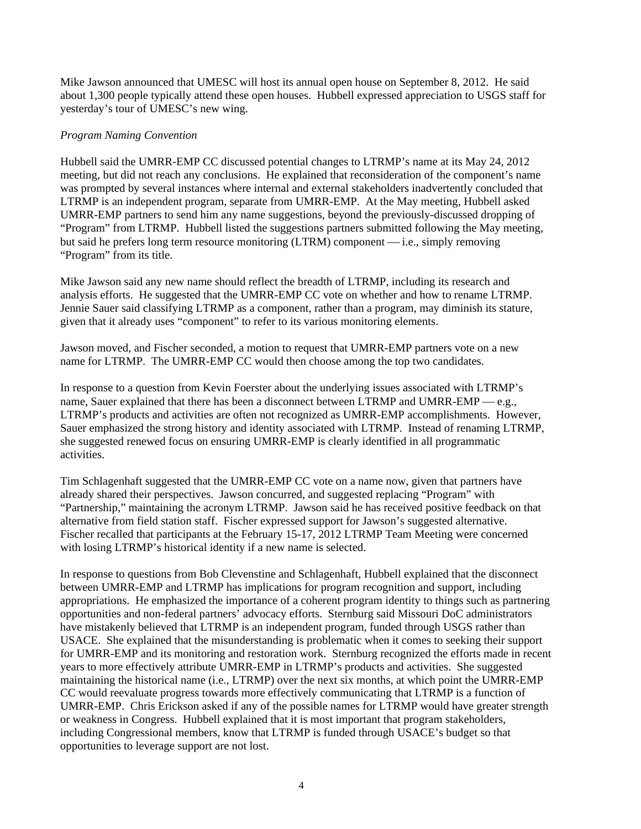Mike Jawson announced that UMESC will host its annual open house on September 8, 2012. He said about 1,300 people typically attend these open houses. Hubbell expressed appreciation to USGS staff for yesterday's tour of UMESC's new wing.

## *Program Naming Convention*

Hubbell said the UMRR-EMP CC discussed potential changes to LTRMP's name at its May 24, 2012 meeting, but did not reach any conclusions. He explained that reconsideration of the component's name was prompted by several instances where internal and external stakeholders inadvertently concluded that LTRMP is an independent program, separate from UMRR-EMP. At the May meeting, Hubbell asked UMRR-EMP partners to send him any name suggestions, beyond the previously-discussed dropping of "Program" from LTRMP. Hubbell listed the suggestions partners submitted following the May meeting, but said he prefers long term resource monitoring  $(LTRM)$  component — i.e., simply removing "Program" from its title.

Mike Jawson said any new name should reflect the breadth of LTRMP, including its research and analysis efforts. He suggested that the UMRR-EMP CC vote on whether and how to rename LTRMP. Jennie Sauer said classifying LTRMP as a component, rather than a program, may diminish its stature, given that it already uses "component" to refer to its various monitoring elements.

Jawson moved, and Fischer seconded, a motion to request that UMRR-EMP partners vote on a new name for LTRMP. The UMRR-EMP CC would then choose among the top two candidates.

In response to a question from Kevin Foerster about the underlying issues associated with LTRMP's name, Sauer explained that there has been a disconnect between LTRMP and UMRR-EMP  $-$ e.g., LTRMP's products and activities are often not recognized as UMRR-EMP accomplishments. However, Sauer emphasized the strong history and identity associated with LTRMP. Instead of renaming LTRMP, she suggested renewed focus on ensuring UMRR-EMP is clearly identified in all programmatic activities.

Tim Schlagenhaft suggested that the UMRR-EMP CC vote on a name now, given that partners have already shared their perspectives. Jawson concurred, and suggested replacing "Program" with "Partnership," maintaining the acronym LTRMP. Jawson said he has received positive feedback on that alternative from field station staff. Fischer expressed support for Jawson's suggested alternative. Fischer recalled that participants at the February 15-17, 2012 LTRMP Team Meeting were concerned with losing LTRMP's historical identity if a new name is selected.

In response to questions from Bob Clevenstine and Schlagenhaft, Hubbell explained that the disconnect between UMRR-EMP and LTRMP has implications for program recognition and support, including appropriations. He emphasized the importance of a coherent program identity to things such as partnering opportunities and non-federal partners' advocacy efforts. Sternburg said Missouri DoC administrators have mistakenly believed that LTRMP is an independent program, funded through USGS rather than USACE. She explained that the misunderstanding is problematic when it comes to seeking their support for UMRR-EMP and its monitoring and restoration work. Sternburg recognized the efforts made in recent years to more effectively attribute UMRR-EMP in LTRMP's products and activities. She suggested maintaining the historical name (i.e., LTRMP) over the next six months, at which point the UMRR-EMP CC would reevaluate progress towards more effectively communicating that LTRMP is a function of UMRR-EMP. Chris Erickson asked if any of the possible names for LTRMP would have greater strength or weakness in Congress. Hubbell explained that it is most important that program stakeholders, including Congressional members, know that LTRMP is funded through USACE's budget so that opportunities to leverage support are not lost.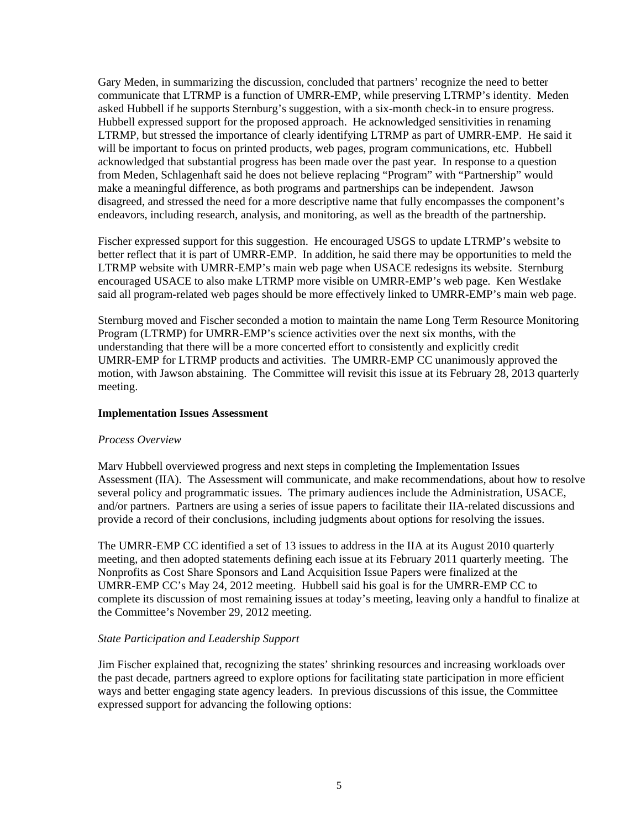Gary Meden, in summarizing the discussion, concluded that partners' recognize the need to better communicate that LTRMP is a function of UMRR-EMP, while preserving LTRMP's identity. Meden asked Hubbell if he supports Sternburg's suggestion, with a six-month check-in to ensure progress. Hubbell expressed support for the proposed approach. He acknowledged sensitivities in renaming LTRMP, but stressed the importance of clearly identifying LTRMP as part of UMRR-EMP. He said it will be important to focus on printed products, web pages, program communications, etc. Hubbell acknowledged that substantial progress has been made over the past year. In response to a question from Meden, Schlagenhaft said he does not believe replacing "Program" with "Partnership" would make a meaningful difference, as both programs and partnerships can be independent. Jawson disagreed, and stressed the need for a more descriptive name that fully encompasses the component's endeavors, including research, analysis, and monitoring, as well as the breadth of the partnership.

Fischer expressed support for this suggestion. He encouraged USGS to update LTRMP's website to better reflect that it is part of UMRR-EMP. In addition, he said there may be opportunities to meld the LTRMP website with UMRR-EMP's main web page when USACE redesigns its website. Sternburg encouraged USACE to also make LTRMP more visible on UMRR-EMP's web page. Ken Westlake said all program-related web pages should be more effectively linked to UMRR-EMP's main web page.

Sternburg moved and Fischer seconded a motion to maintain the name Long Term Resource Monitoring Program (LTRMP) for UMRR-EMP's science activities over the next six months, with the understanding that there will be a more concerted effort to consistently and explicitly credit UMRR-EMP for LTRMP products and activities. The UMRR-EMP CC unanimously approved the motion, with Jawson abstaining. The Committee will revisit this issue at its February 28, 2013 quarterly meeting.

#### **Implementation Issues Assessment**

#### *Process Overview*

Marv Hubbell overviewed progress and next steps in completing the Implementation Issues Assessment (IIA). The Assessment will communicate, and make recommendations, about how to resolve several policy and programmatic issues. The primary audiences include the Administration, USACE, and/or partners. Partners are using a series of issue papers to facilitate their IIA-related discussions and provide a record of their conclusions, including judgments about options for resolving the issues.

The UMRR-EMP CC identified a set of 13 issues to address in the IIA at its August 2010 quarterly meeting, and then adopted statements defining each issue at its February 2011 quarterly meeting. The Nonprofits as Cost Share Sponsors and Land Acquisition Issue Papers were finalized at the UMRR-EMP CC's May 24, 2012 meeting. Hubbell said his goal is for the UMRR-EMP CC to complete its discussion of most remaining issues at today's meeting, leaving only a handful to finalize at the Committee's November 29, 2012 meeting.

#### *State Participation and Leadership Support*

Jim Fischer explained that, recognizing the states' shrinking resources and increasing workloads over the past decade, partners agreed to explore options for facilitating state participation in more efficient ways and better engaging state agency leaders. In previous discussions of this issue, the Committee expressed support for advancing the following options: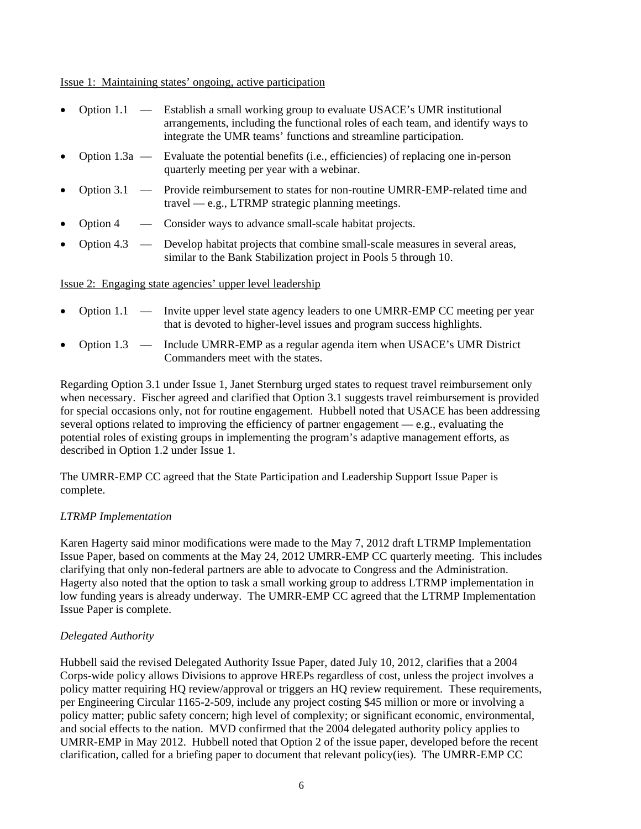#### Issue 1: Maintaining states' ongoing, active participation

|          | Option 1.1 — Establish a small working group to evaluate USACE's UMR institutional<br>arrangements, including the functional roles of each team, and identify ways to<br>integrate the UMR teams' functions and streamline participation. |
|----------|-------------------------------------------------------------------------------------------------------------------------------------------------------------------------------------------------------------------------------------------|
|          | Option 1.3a — Evaluate the potential benefits (i.e., efficiencies) of replacing one in-person<br>quarterly meeting per year with a webinar.                                                                                               |
|          | Option 3.1 — Provide reimbursement to states for non-routine UMRR-EMP-related time and<br>$travel - e.g., LTRMP strategic planning meetings.$                                                                                             |
| Option 4 | — Consider ways to advance small-scale habitat projects.                                                                                                                                                                                  |
|          | Option 4.3 — Develop habitat projects that combine small-scale measures in several areas,<br>similar to the Bank Stabilization project in Pools 5 through 10.                                                                             |

#### Issue 2: Engaging state agencies' upper level leadership

- Option 1.1 Invite upper level state agency leaders to one UMRR-EMP CC meeting per year that is devoted to higher-level issues and program success highlights.
- Option 1.3 Include UMRR-EMP as a regular agenda item when USACE's UMR District Commanders meet with the states.

Regarding Option 3.1 under Issue 1, Janet Sternburg urged states to request travel reimbursement only when necessary. Fischer agreed and clarified that Option 3.1 suggests travel reimbursement is provided for special occasions only, not for routine engagement. Hubbell noted that USACE has been addressing several options related to improving the efficiency of partner engagement  $-e.g.,$  evaluating the potential roles of existing groups in implementing the program's adaptive management efforts, as described in Option 1.2 under Issue 1.

The UMRR-EMP CC agreed that the State Participation and Leadership Support Issue Paper is complete.

#### *LTRMP Implementation*

Karen Hagerty said minor modifications were made to the May 7, 2012 draft LTRMP Implementation Issue Paper, based on comments at the May 24, 2012 UMRR-EMP CC quarterly meeting. This includes clarifying that only non-federal partners are able to advocate to Congress and the Administration. Hagerty also noted that the option to task a small working group to address LTRMP implementation in low funding years is already underway. The UMRR-EMP CC agreed that the LTRMP Implementation Issue Paper is complete.

#### *Delegated Authority*

Hubbell said the revised Delegated Authority Issue Paper, dated July 10, 2012, clarifies that a 2004 Corps-wide policy allows Divisions to approve HREPs regardless of cost, unless the project involves a policy matter requiring HQ review/approval or triggers an HQ review requirement. These requirements, per Engineering Circular 1165-2-509, include any project costing \$45 million or more or involving a policy matter; public safety concern; high level of complexity; or significant economic, environmental, and social effects to the nation. MVD confirmed that the 2004 delegated authority policy applies to UMRR-EMP in May 2012. Hubbell noted that Option 2 of the issue paper, developed before the recent clarification, called for a briefing paper to document that relevant policy(ies). The UMRR-EMP CC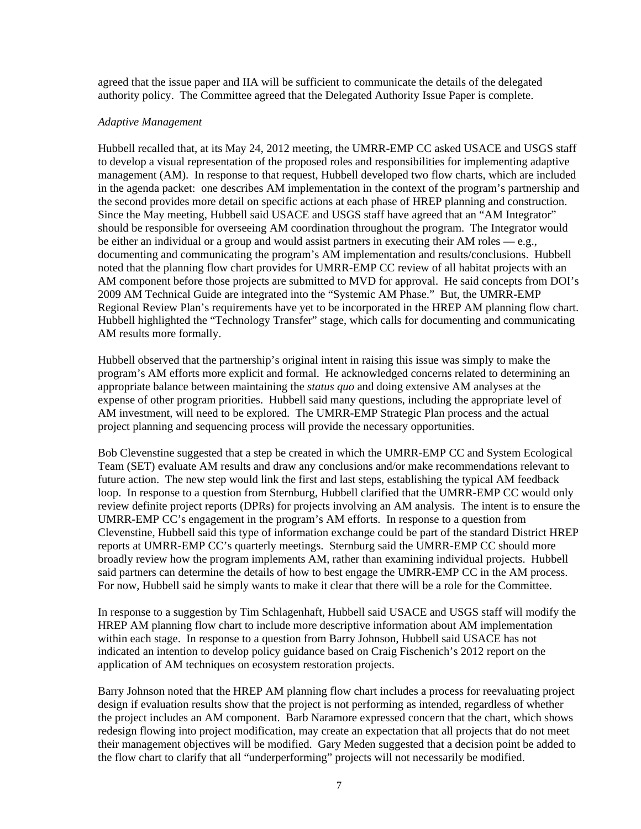agreed that the issue paper and IIA will be sufficient to communicate the details of the delegated authority policy. The Committee agreed that the Delegated Authority Issue Paper is complete.

#### *Adaptive Management*

Hubbell recalled that, at its May 24, 2012 meeting, the UMRR-EMP CC asked USACE and USGS staff to develop a visual representation of the proposed roles and responsibilities for implementing adaptive management (AM). In response to that request, Hubbell developed two flow charts, which are included in the agenda packet: one describes AM implementation in the context of the program's partnership and the second provides more detail on specific actions at each phase of HREP planning and construction. Since the May meeting, Hubbell said USACE and USGS staff have agreed that an "AM Integrator" should be responsible for overseeing AM coordination throughout the program. The Integrator would be either an individual or a group and would assist partners in executing their AM roles — e.g., documenting and communicating the program's AM implementation and results/conclusions. Hubbell noted that the planning flow chart provides for UMRR-EMP CC review of all habitat projects with an AM component before those projects are submitted to MVD for approval. He said concepts from DOI's 2009 AM Technical Guide are integrated into the "Systemic AM Phase." But, the UMRR-EMP Regional Review Plan's requirements have yet to be incorporated in the HREP AM planning flow chart. Hubbell highlighted the "Technology Transfer" stage, which calls for documenting and communicating AM results more formally.

Hubbell observed that the partnership's original intent in raising this issue was simply to make the program's AM efforts more explicit and formal. He acknowledged concerns related to determining an appropriate balance between maintaining the *status quo* and doing extensive AM analyses at the expense of other program priorities. Hubbell said many questions, including the appropriate level of AM investment, will need to be explored. The UMRR-EMP Strategic Plan process and the actual project planning and sequencing process will provide the necessary opportunities.

Bob Clevenstine suggested that a step be created in which the UMRR-EMP CC and System Ecological Team (SET) evaluate AM results and draw any conclusions and/or make recommendations relevant to future action. The new step would link the first and last steps, establishing the typical AM feedback loop. In response to a question from Sternburg, Hubbell clarified that the UMRR-EMP CC would only review definite project reports (DPRs) for projects involving an AM analysis. The intent is to ensure the UMRR-EMP CC's engagement in the program's AM efforts. In response to a question from Clevenstine, Hubbell said this type of information exchange could be part of the standard District HREP reports at UMRR-EMP CC's quarterly meetings. Sternburg said the UMRR-EMP CC should more broadly review how the program implements AM, rather than examining individual projects. Hubbell said partners can determine the details of how to best engage the UMRR-EMP CC in the AM process. For now, Hubbell said he simply wants to make it clear that there will be a role for the Committee.

In response to a suggestion by Tim Schlagenhaft, Hubbell said USACE and USGS staff will modify the HREP AM planning flow chart to include more descriptive information about AM implementation within each stage. In response to a question from Barry Johnson, Hubbell said USACE has not indicated an intention to develop policy guidance based on Craig Fischenich's 2012 report on the application of AM techniques on ecosystem restoration projects.

Barry Johnson noted that the HREP AM planning flow chart includes a process for reevaluating project design if evaluation results show that the project is not performing as intended, regardless of whether the project includes an AM component. Barb Naramore expressed concern that the chart, which shows redesign flowing into project modification, may create an expectation that all projects that do not meet their management objectives will be modified. Gary Meden suggested that a decision point be added to the flow chart to clarify that all "underperforming" projects will not necessarily be modified.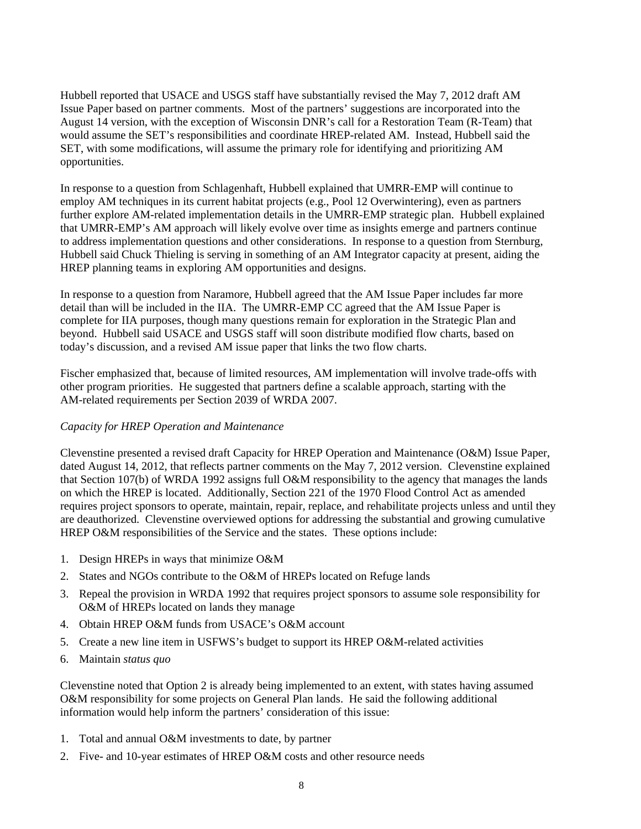Hubbell reported that USACE and USGS staff have substantially revised the May 7, 2012 draft AM Issue Paper based on partner comments. Most of the partners' suggestions are incorporated into the August 14 version, with the exception of Wisconsin DNR's call for a Restoration Team (R-Team) that would assume the SET's responsibilities and coordinate HREP-related AM. Instead, Hubbell said the SET, with some modifications, will assume the primary role for identifying and prioritizing AM opportunities.

In response to a question from Schlagenhaft, Hubbell explained that UMRR-EMP will continue to employ AM techniques in its current habitat projects (e.g., Pool 12 Overwintering), even as partners further explore AM-related implementation details in the UMRR-EMP strategic plan. Hubbell explained that UMRR-EMP's AM approach will likely evolve over time as insights emerge and partners continue to address implementation questions and other considerations. In response to a question from Sternburg, Hubbell said Chuck Thieling is serving in something of an AM Integrator capacity at present, aiding the HREP planning teams in exploring AM opportunities and designs.

In response to a question from Naramore, Hubbell agreed that the AM Issue Paper includes far more detail than will be included in the IIA. The UMRR-EMP CC agreed that the AM Issue Paper is complete for IIA purposes, though many questions remain for exploration in the Strategic Plan and beyond. Hubbell said USACE and USGS staff will soon distribute modified flow charts, based on today's discussion, and a revised AM issue paper that links the two flow charts.

Fischer emphasized that, because of limited resources, AM implementation will involve trade-offs with other program priorities. He suggested that partners define a scalable approach, starting with the AM-related requirements per Section 2039 of WRDA 2007.

#### *Capacity for HREP Operation and Maintenance*

Clevenstine presented a revised draft Capacity for HREP Operation and Maintenance (O&M) Issue Paper, dated August 14, 2012, that reflects partner comments on the May 7, 2012 version. Clevenstine explained that Section 107(b) of WRDA 1992 assigns full O&M responsibility to the agency that manages the lands on which the HREP is located. Additionally, Section 221 of the 1970 Flood Control Act as amended requires project sponsors to operate, maintain, repair, replace, and rehabilitate projects unless and until they are deauthorized. Clevenstine overviewed options for addressing the substantial and growing cumulative HREP O&M responsibilities of the Service and the states. These options include:

- 1. Design HREPs in ways that minimize O&M
- 2. States and NGOs contribute to the O&M of HREPs located on Refuge lands
- 3. Repeal the provision in WRDA 1992 that requires project sponsors to assume sole responsibility for O&M of HREPs located on lands they manage
- 4. Obtain HREP O&M funds from USACE's O&M account
- 5. Create a new line item in USFWS's budget to support its HREP O&M-related activities
- 6. Maintain *status quo*

Clevenstine noted that Option 2 is already being implemented to an extent, with states having assumed O&M responsibility for some projects on General Plan lands. He said the following additional information would help inform the partners' consideration of this issue:

- 1. Total and annual O&M investments to date, by partner
- 2. Five- and 10-year estimates of HREP O&M costs and other resource needs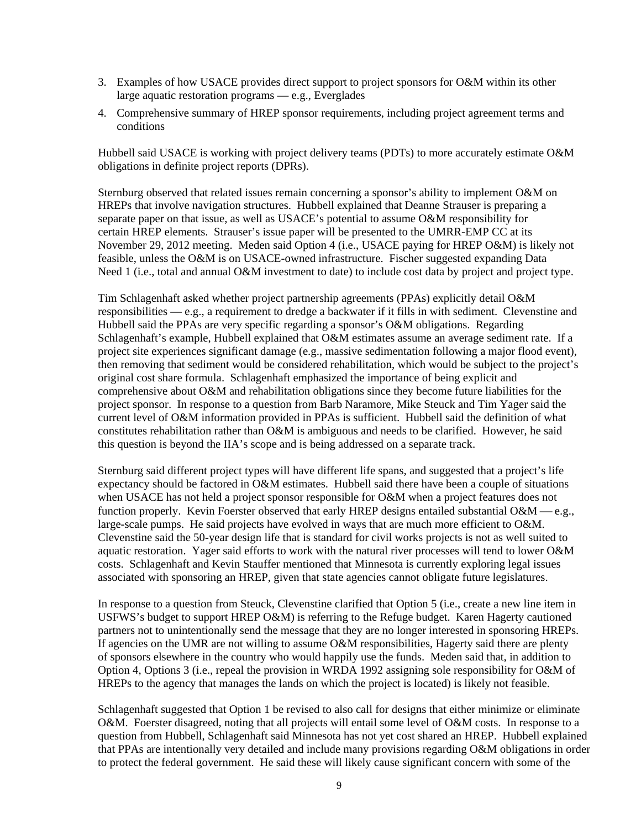- 3. Examples of how USACE provides direct support to project sponsors for O&M within its other large aquatic restoration programs — e.g., Everglades
- 4. Comprehensive summary of HREP sponsor requirements, including project agreement terms and conditions

Hubbell said USACE is working with project delivery teams (PDTs) to more accurately estimate O&M obligations in definite project reports (DPRs).

Sternburg observed that related issues remain concerning a sponsor's ability to implement O&M on HREPs that involve navigation structures. Hubbell explained that Deanne Strauser is preparing a separate paper on that issue, as well as USACE's potential to assume O&M responsibility for certain HREP elements. Strauser's issue paper will be presented to the UMRR-EMP CC at its November 29, 2012 meeting. Meden said Option 4 (i.e., USACE paying for HREP O&M) is likely not feasible, unless the O&M is on USACE-owned infrastructure. Fischer suggested expanding Data Need 1 (*i.e.*, total and annual O&M investment to date) to include cost data by project and project type.

Tim Schlagenhaft asked whether project partnership agreements (PPAs) explicitly detail O&M responsibilities — e.g., a requirement to dredge a backwater if it fills in with sediment. Clevenstine and Hubbell said the PPAs are very specific regarding a sponsor's O&M obligations. Regarding Schlagenhaft's example, Hubbell explained that O&M estimates assume an average sediment rate. If a project site experiences significant damage (e.g., massive sedimentation following a major flood event), then removing that sediment would be considered rehabilitation, which would be subject to the project's original cost share formula. Schlagenhaft emphasized the importance of being explicit and comprehensive about O&M and rehabilitation obligations since they become future liabilities for the project sponsor. In response to a question from Barb Naramore, Mike Steuck and Tim Yager said the current level of O&M information provided in PPAs is sufficient. Hubbell said the definition of what constitutes rehabilitation rather than O&M is ambiguous and needs to be clarified. However, he said this question is beyond the IIA's scope and is being addressed on a separate track.

Sternburg said different project types will have different life spans, and suggested that a project's life expectancy should be factored in O&M estimates. Hubbell said there have been a couple of situations when USACE has not held a project sponsor responsible for O&M when a project features does not function properly. Kevin Foerster observed that early HREP designs entailed substantial  $O\&M \rightarrow e.g.,$ large-scale pumps. He said projects have evolved in ways that are much more efficient to O&M. Clevenstine said the 50-year design life that is standard for civil works projects is not as well suited to aquatic restoration. Yager said efforts to work with the natural river processes will tend to lower O&M costs. Schlagenhaft and Kevin Stauffer mentioned that Minnesota is currently exploring legal issues associated with sponsoring an HREP, given that state agencies cannot obligate future legislatures.

In response to a question from Steuck, Clevenstine clarified that Option 5 (i.e., create a new line item in USFWS's budget to support HREP O&M) is referring to the Refuge budget. Karen Hagerty cautioned partners not to unintentionally send the message that they are no longer interested in sponsoring HREPs. If agencies on the UMR are not willing to assume O&M responsibilities, Hagerty said there are plenty of sponsors elsewhere in the country who would happily use the funds. Meden said that, in addition to Option 4, Options 3 (i.e., repeal the provision in WRDA 1992 assigning sole responsibility for O&M of HREPs to the agency that manages the lands on which the project is located) is likely not feasible.

Schlagenhaft suggested that Option 1 be revised to also call for designs that either minimize or eliminate O&M. Foerster disagreed, noting that all projects will entail some level of O&M costs. In response to a question from Hubbell, Schlagenhaft said Minnesota has not yet cost shared an HREP. Hubbell explained that PPAs are intentionally very detailed and include many provisions regarding O&M obligations in order to protect the federal government. He said these will likely cause significant concern with some of the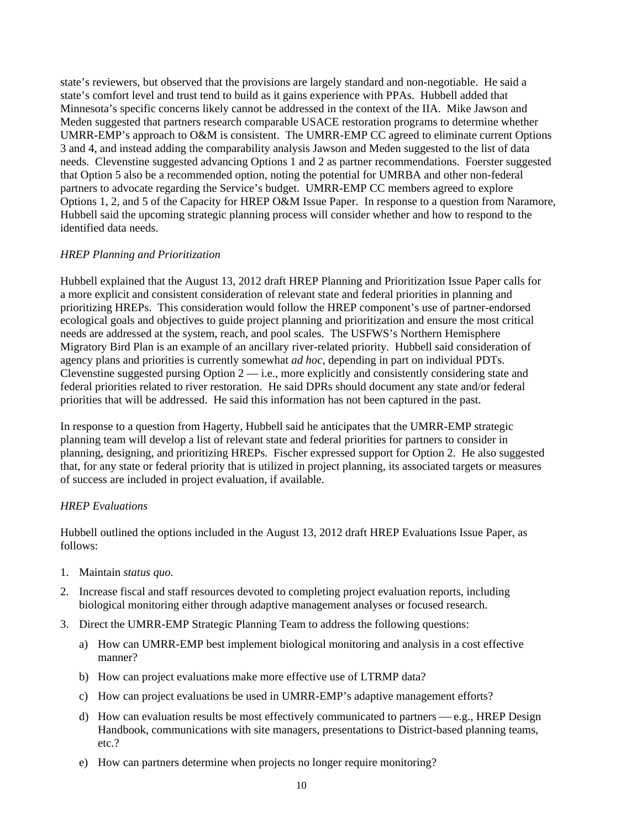state's reviewers, but observed that the provisions are largely standard and non-negotiable. He said a state's comfort level and trust tend to build as it gains experience with PPAs. Hubbell added that Minnesota's specific concerns likely cannot be addressed in the context of the IIA. Mike Jawson and Meden suggested that partners research comparable USACE restoration programs to determine whether UMRR-EMP's approach to O&M is consistent. The UMRR-EMP CC agreed to eliminate current Options 3 and 4, and instead adding the comparability analysis Jawson and Meden suggested to the list of data needs. Clevenstine suggested advancing Options 1 and 2 as partner recommendations. Foerster suggested that Option 5 also be a recommended option, noting the potential for UMRBA and other non-federal partners to advocate regarding the Service's budget. UMRR-EMP CC members agreed to explore Options 1, 2, and 5 of the Capacity for HREP O&M Issue Paper. In response to a question from Naramore, Hubbell said the upcoming strategic planning process will consider whether and how to respond to the identified data needs.

#### *HREP Planning and Prioritization*

Hubbell explained that the August 13, 2012 draft HREP Planning and Prioritization Issue Paper calls for a more explicit and consistent consideration of relevant state and federal priorities in planning and prioritizing HREPs. This consideration would follow the HREP component's use of partner-endorsed ecological goals and objectives to guide project planning and prioritization and ensure the most critical needs are addressed at the system, reach, and pool scales. The USFWS's Northern Hemisphere Migratory Bird Plan is an example of an ancillary river-related priority. Hubbell said consideration of agency plans and priorities is currently somewhat *ad hoc*, depending in part on individual PDTs. Clevenstine suggested pursing Option 2 — i.e., more explicitly and consistently considering state and federal priorities related to river restoration. He said DPRs should document any state and/or federal priorities that will be addressed. He said this information has not been captured in the past.

In response to a question from Hagerty, Hubbell said he anticipates that the UMRR-EMP strategic planning team will develop a list of relevant state and federal priorities for partners to consider in planning, designing, and prioritizing HREPs. Fischer expressed support for Option 2. He also suggested that, for any state or federal priority that is utilized in project planning, its associated targets or measures of success are included in project evaluation, if available.

#### *HREP Evaluations*

Hubbell outlined the options included in the August 13, 2012 draft HREP Evaluations Issue Paper, as follows:

- 1. Maintain *status quo.*
- 2. Increase fiscal and staff resources devoted to completing project evaluation reports, including biological monitoring either through adaptive management analyses or focused research.
- 3. Direct the UMRR-EMP Strategic Planning Team to address the following questions:
	- a) How can UMRR-EMP best implement biological monitoring and analysis in a cost effective manner?
	- b) How can project evaluations make more effective use of LTRMP data?
	- c) How can project evaluations be used in UMRR-EMP's adaptive management efforts?
	- d) How can evaluation results be most effectively communicated to partners e.g., HREP Design Handbook, communications with site managers, presentations to District-based planning teams, etc.?
	- e) How can partners determine when projects no longer require monitoring?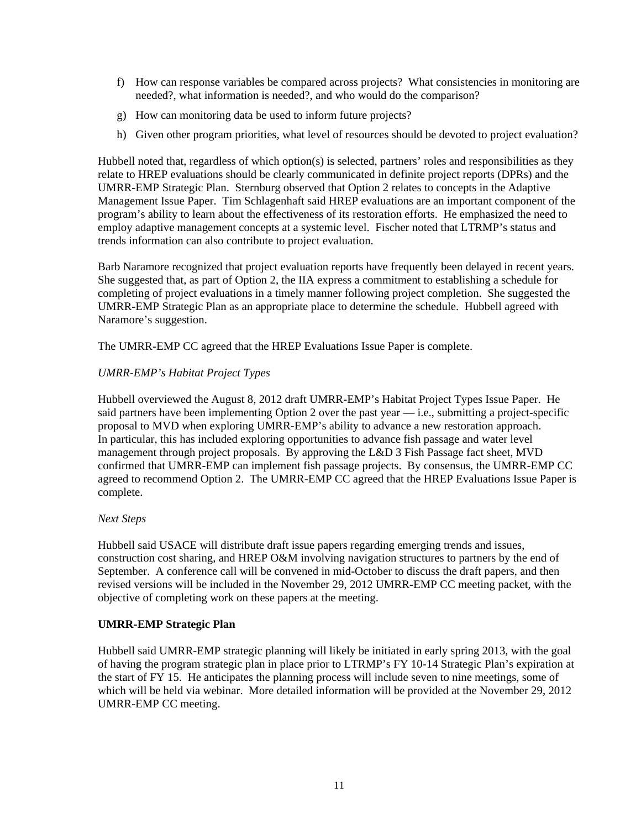- f) How can response variables be compared across projects? What consistencies in monitoring are needed?, what information is needed?, and who would do the comparison?
- g) How can monitoring data be used to inform future projects?
- h) Given other program priorities, what level of resources should be devoted to project evaluation?

Hubbell noted that, regardless of which option(s) is selected, partners' roles and responsibilities as they relate to HREP evaluations should be clearly communicated in definite project reports (DPRs) and the UMRR-EMP Strategic Plan. Sternburg observed that Option 2 relates to concepts in the Adaptive Management Issue Paper. Tim Schlagenhaft said HREP evaluations are an important component of the program's ability to learn about the effectiveness of its restoration efforts. He emphasized the need to employ adaptive management concepts at a systemic level. Fischer noted that LTRMP's status and trends information can also contribute to project evaluation.

Barb Naramore recognized that project evaluation reports have frequently been delayed in recent years. She suggested that, as part of Option 2, the IIA express a commitment to establishing a schedule for completing of project evaluations in a timely manner following project completion. She suggested the UMRR-EMP Strategic Plan as an appropriate place to determine the schedule. Hubbell agreed with Naramore's suggestion.

The UMRR-EMP CC agreed that the HREP Evaluations Issue Paper is complete.

#### *UMRR-EMP's Habitat Project Types*

Hubbell overviewed the August 8, 2012 draft UMRR-EMP's Habitat Project Types Issue Paper. He said partners have been implementing Option 2 over the past year  $-$  i.e., submitting a project-specific proposal to MVD when exploring UMRR-EMP's ability to advance a new restoration approach. In particular, this has included exploring opportunities to advance fish passage and water level management through project proposals. By approving the L&D 3 Fish Passage fact sheet, MVD confirmed that UMRR-EMP can implement fish passage projects. By consensus, the UMRR-EMP CC agreed to recommend Option 2. The UMRR-EMP CC agreed that the HREP Evaluations Issue Paper is complete.

#### *Next Steps*

Hubbell said USACE will distribute draft issue papers regarding emerging trends and issues, construction cost sharing, and HREP O&M involving navigation structures to partners by the end of September. A conference call will be convened in mid-October to discuss the draft papers, and then revised versions will be included in the November 29, 2012 UMRR-EMP CC meeting packet, with the objective of completing work on these papers at the meeting.

#### **UMRR-EMP Strategic Plan**

Hubbell said UMRR-EMP strategic planning will likely be initiated in early spring 2013, with the goal of having the program strategic plan in place prior to LTRMP's FY 10-14 Strategic Plan's expiration at the start of FY 15. He anticipates the planning process will include seven to nine meetings, some of which will be held via webinar. More detailed information will be provided at the November 29, 2012 UMRR-EMP CC meeting.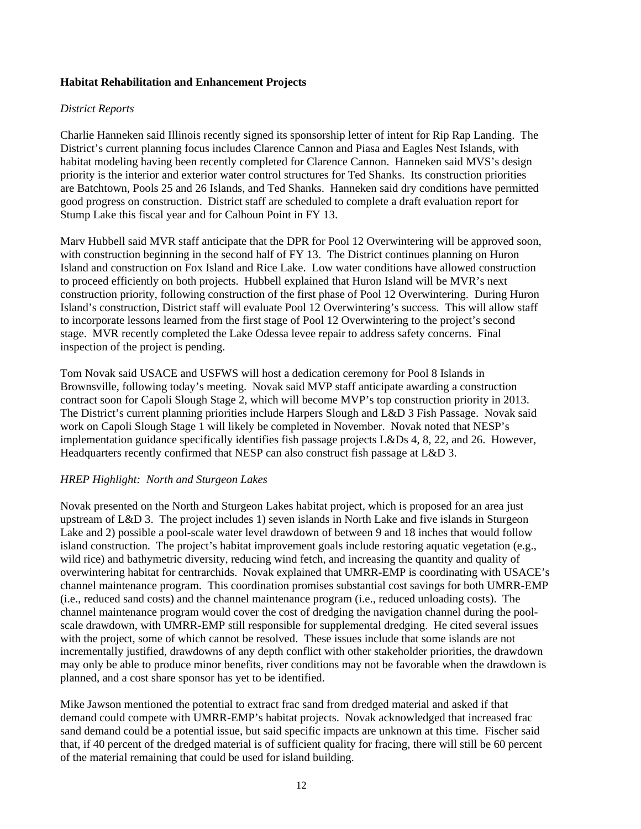#### **Habitat Rehabilitation and Enhancement Projects**

#### *District Reports*

Charlie Hanneken said Illinois recently signed its sponsorship letter of intent for Rip Rap Landing. The District's current planning focus includes Clarence Cannon and Piasa and Eagles Nest Islands, with habitat modeling having been recently completed for Clarence Cannon. Hanneken said MVS's design priority is the interior and exterior water control structures for Ted Shanks. Its construction priorities are Batchtown, Pools 25 and 26 Islands, and Ted Shanks. Hanneken said dry conditions have permitted good progress on construction. District staff are scheduled to complete a draft evaluation report for Stump Lake this fiscal year and for Calhoun Point in FY 13.

Marv Hubbell said MVR staff anticipate that the DPR for Pool 12 Overwintering will be approved soon, with construction beginning in the second half of FY 13. The District continues planning on Huron Island and construction on Fox Island and Rice Lake. Low water conditions have allowed construction to proceed efficiently on both projects. Hubbell explained that Huron Island will be MVR's next construction priority, following construction of the first phase of Pool 12 Overwintering. During Huron Island's construction, District staff will evaluate Pool 12 Overwintering's success. This will allow staff to incorporate lessons learned from the first stage of Pool 12 Overwintering to the project's second stage. MVR recently completed the Lake Odessa levee repair to address safety concerns. Final inspection of the project is pending.

Tom Novak said USACE and USFWS will host a dedication ceremony for Pool 8 Islands in Brownsville, following today's meeting. Novak said MVP staff anticipate awarding a construction contract soon for Capoli Slough Stage 2, which will become MVP's top construction priority in 2013. The District's current planning priorities include Harpers Slough and L&D 3 Fish Passage. Novak said work on Capoli Slough Stage 1 will likely be completed in November. Novak noted that NESP's implementation guidance specifically identifies fish passage projects L&Ds 4, 8, 22, and 26. However, Headquarters recently confirmed that NESP can also construct fish passage at L&D 3.

#### *HREP Highlight: North and Sturgeon Lakes*

Novak presented on the North and Sturgeon Lakes habitat project, which is proposed for an area just upstream of L&D 3. The project includes 1) seven islands in North Lake and five islands in Sturgeon Lake and 2) possible a pool-scale water level drawdown of between 9 and 18 inches that would follow island construction. The project's habitat improvement goals include restoring aquatic vegetation (e.g., wild rice) and bathymetric diversity, reducing wind fetch, and increasing the quantity and quality of overwintering habitat for centrarchids. Novak explained that UMRR-EMP is coordinating with USACE's channel maintenance program. This coordination promises substantial cost savings for both UMRR-EMP (i.e., reduced sand costs) and the channel maintenance program (i.e., reduced unloading costs). The channel maintenance program would cover the cost of dredging the navigation channel during the poolscale drawdown, with UMRR-EMP still responsible for supplemental dredging. He cited several issues with the project, some of which cannot be resolved. These issues include that some islands are not incrementally justified, drawdowns of any depth conflict with other stakeholder priorities, the drawdown may only be able to produce minor benefits, river conditions may not be favorable when the drawdown is planned, and a cost share sponsor has yet to be identified.

Mike Jawson mentioned the potential to extract frac sand from dredged material and asked if that demand could compete with UMRR-EMP's habitat projects. Novak acknowledged that increased frac sand demand could be a potential issue, but said specific impacts are unknown at this time. Fischer said that, if 40 percent of the dredged material is of sufficient quality for fracing, there will still be 60 percent of the material remaining that could be used for island building.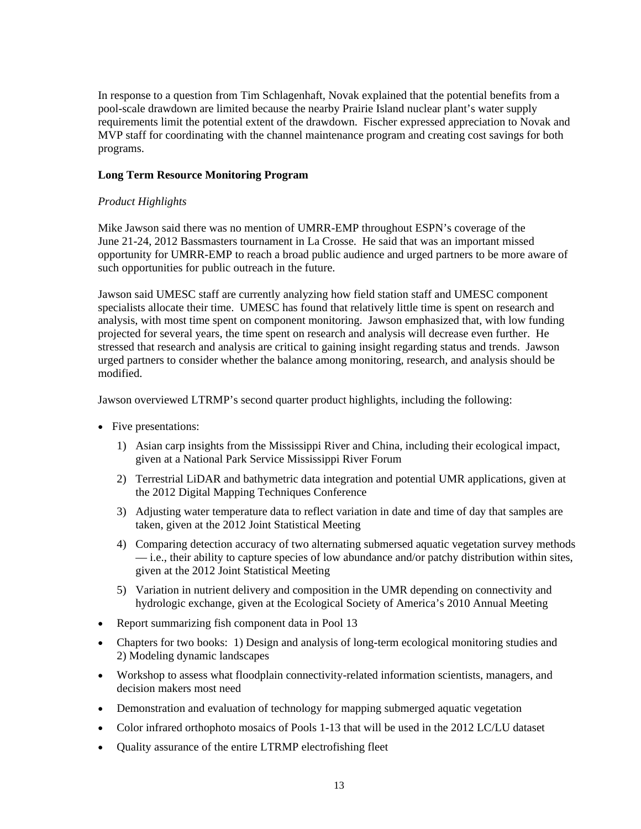In response to a question from Tim Schlagenhaft, Novak explained that the potential benefits from a pool-scale drawdown are limited because the nearby Prairie Island nuclear plant's water supply requirements limit the potential extent of the drawdown. Fischer expressed appreciation to Novak and MVP staff for coordinating with the channel maintenance program and creating cost savings for both programs.

#### **Long Term Resource Monitoring Program**

## *Product Highlights*

Mike Jawson said there was no mention of UMRR-EMP throughout ESPN's coverage of the June 21-24, 2012 Bassmasters tournament in La Crosse. He said that was an important missed opportunity for UMRR-EMP to reach a broad public audience and urged partners to be more aware of such opportunities for public outreach in the future.

Jawson said UMESC staff are currently analyzing how field station staff and UMESC component specialists allocate their time. UMESC has found that relatively little time is spent on research and analysis, with most time spent on component monitoring. Jawson emphasized that, with low funding projected for several years, the time spent on research and analysis will decrease even further. He stressed that research and analysis are critical to gaining insight regarding status and trends. Jawson urged partners to consider whether the balance among monitoring, research, and analysis should be modified.

Jawson overviewed LTRMP's second quarter product highlights, including the following:

- Five presentations:
	- 1) Asian carp insights from the Mississippi River and China, including their ecological impact, given at a National Park Service Mississippi River Forum
	- 2) Terrestrial LiDAR and bathymetric data integration and potential UMR applications, given at the 2012 Digital Mapping Techniques Conference
	- 3) Adjusting water temperature data to reflect variation in date and time of day that samples are taken, given at the 2012 Joint Statistical Meeting
	- 4) Comparing detection accuracy of two alternating submersed aquatic vegetation survey methods — i.e., their ability to capture species of low abundance and/or patchy distribution within sites, given at the 2012 Joint Statistical Meeting
	- 5) Variation in nutrient delivery and composition in the UMR depending on connectivity and hydrologic exchange, given at the Ecological Society of America's 2010 Annual Meeting
- Report summarizing fish component data in Pool 13
- Chapters for two books: 1) Design and analysis of long-term ecological monitoring studies and 2) Modeling dynamic landscapes
- Workshop to assess what floodplain connectivity-related information scientists, managers, and decision makers most need
- Demonstration and evaluation of technology for mapping submerged aquatic vegetation
- Color infrared orthophoto mosaics of Pools 1-13 that will be used in the 2012 LC/LU dataset
- Quality assurance of the entire LTRMP electrofishing fleet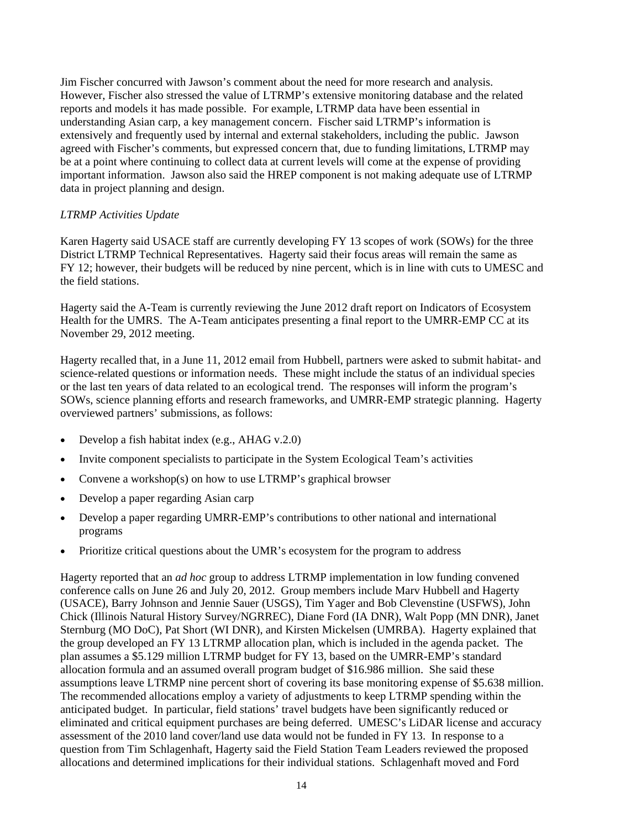Jim Fischer concurred with Jawson's comment about the need for more research and analysis. However, Fischer also stressed the value of LTRMP's extensive monitoring database and the related reports and models it has made possible. For example, LTRMP data have been essential in understanding Asian carp, a key management concern. Fischer said LTRMP's information is extensively and frequently used by internal and external stakeholders, including the public. Jawson agreed with Fischer's comments, but expressed concern that, due to funding limitations, LTRMP may be at a point where continuing to collect data at current levels will come at the expense of providing important information. Jawson also said the HREP component is not making adequate use of LTRMP data in project planning and design.

## *LTRMP Activities Update*

Karen Hagerty said USACE staff are currently developing FY 13 scopes of work (SOWs) for the three District LTRMP Technical Representatives. Hagerty said their focus areas will remain the same as FY 12; however, their budgets will be reduced by nine percent, which is in line with cuts to UMESC and the field stations.

Hagerty said the A-Team is currently reviewing the June 2012 draft report on Indicators of Ecosystem Health for the UMRS. The A-Team anticipates presenting a final report to the UMRR-EMP CC at its November 29, 2012 meeting.

Hagerty recalled that, in a June 11, 2012 email from Hubbell, partners were asked to submit habitat- and science-related questions or information needs. These might include the status of an individual species or the last ten years of data related to an ecological trend. The responses will inform the program's SOWs, science planning efforts and research frameworks, and UMRR-EMP strategic planning. Hagerty overviewed partners' submissions, as follows:

- Develop a fish habitat index (e.g., AHAG v.2.0)
- Invite component specialists to participate in the System Ecological Team's activities
- Convene a workshop(s) on how to use LTRMP's graphical browser
- Develop a paper regarding Asian carp
- Develop a paper regarding UMRR-EMP's contributions to other national and international programs
- Prioritize critical questions about the UMR's ecosystem for the program to address

Hagerty reported that an *ad hoc* group to address LTRMP implementation in low funding convened conference calls on June 26 and July 20, 2012. Group members include Marv Hubbell and Hagerty (USACE), Barry Johnson and Jennie Sauer (USGS), Tim Yager and Bob Clevenstine (USFWS), John Chick (Illinois Natural History Survey/NGRREC), Diane Ford (IA DNR), Walt Popp (MN DNR), Janet Sternburg (MO DoC), Pat Short (WI DNR), and Kirsten Mickelsen (UMRBA). Hagerty explained that the group developed an FY 13 LTRMP allocation plan, which is included in the agenda packet. The plan assumes a \$5.129 million LTRMP budget for FY 13, based on the UMRR-EMP's standard allocation formula and an assumed overall program budget of \$16.986 million. She said these assumptions leave LTRMP nine percent short of covering its base monitoring expense of \$5.638 million. The recommended allocations employ a variety of adjustments to keep LTRMP spending within the anticipated budget. In particular, field stations' travel budgets have been significantly reduced or eliminated and critical equipment purchases are being deferred. UMESC's LiDAR license and accuracy assessment of the 2010 land cover/land use data would not be funded in FY 13. In response to a question from Tim Schlagenhaft, Hagerty said the Field Station Team Leaders reviewed the proposed allocations and determined implications for their individual stations. Schlagenhaft moved and Ford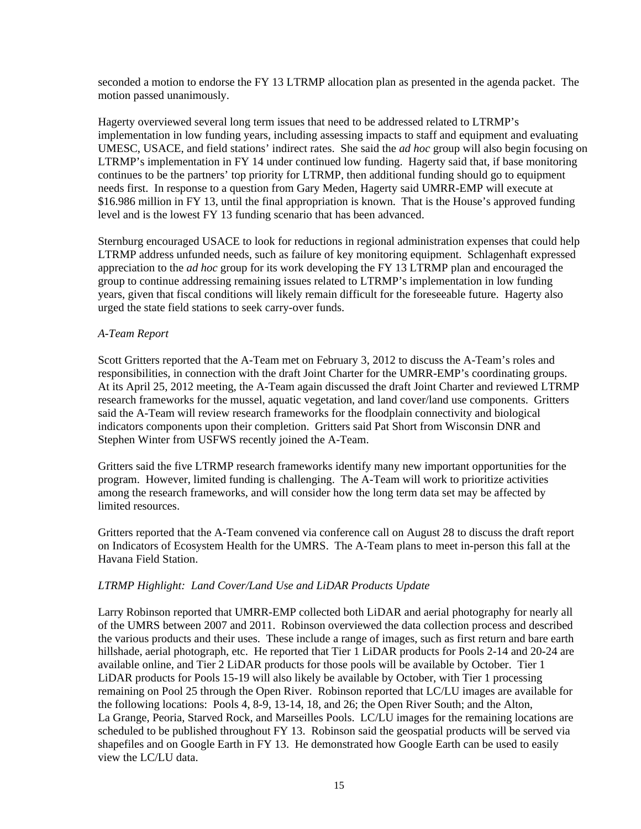seconded a motion to endorse the FY 13 LTRMP allocation plan as presented in the agenda packet. The motion passed unanimously.

Hagerty overviewed several long term issues that need to be addressed related to LTRMP's implementation in low funding years, including assessing impacts to staff and equipment and evaluating UMESC, USACE, and field stations' indirect rates. She said the *ad hoc* group will also begin focusing on LTRMP's implementation in FY 14 under continued low funding. Hagerty said that, if base monitoring continues to be the partners' top priority for LTRMP, then additional funding should go to equipment needs first. In response to a question from Gary Meden, Hagerty said UMRR-EMP will execute at \$16.986 million in FY 13, until the final appropriation is known. That is the House's approved funding level and is the lowest FY 13 funding scenario that has been advanced.

Sternburg encouraged USACE to look for reductions in regional administration expenses that could help LTRMP address unfunded needs, such as failure of key monitoring equipment. Schlagenhaft expressed appreciation to the *ad hoc* group for its work developing the FY 13 LTRMP plan and encouraged the group to continue addressing remaining issues related to LTRMP's implementation in low funding years, given that fiscal conditions will likely remain difficult for the foreseeable future. Hagerty also urged the state field stations to seek carry-over funds.

#### *A-Team Report*

Scott Gritters reported that the A-Team met on February 3, 2012 to discuss the A-Team's roles and responsibilities, in connection with the draft Joint Charter for the UMRR-EMP's coordinating groups. At its April 25, 2012 meeting, the A-Team again discussed the draft Joint Charter and reviewed LTRMP research frameworks for the mussel, aquatic vegetation, and land cover/land use components. Gritters said the A-Team will review research frameworks for the floodplain connectivity and biological indicators components upon their completion. Gritters said Pat Short from Wisconsin DNR and Stephen Winter from USFWS recently joined the A-Team.

Gritters said the five LTRMP research frameworks identify many new important opportunities for the program. However, limited funding is challenging. The A-Team will work to prioritize activities among the research frameworks, and will consider how the long term data set may be affected by limited resources.

Gritters reported that the A-Team convened via conference call on August 28 to discuss the draft report on Indicators of Ecosystem Health for the UMRS. The A-Team plans to meet in-person this fall at the Havana Field Station.

#### *LTRMP Highlight: Land Cover/Land Use and LiDAR Products Update*

Larry Robinson reported that UMRR-EMP collected both LiDAR and aerial photography for nearly all of the UMRS between 2007 and 2011. Robinson overviewed the data collection process and described the various products and their uses. These include a range of images, such as first return and bare earth hillshade, aerial photograph, etc. He reported that Tier 1 LiDAR products for Pools 2-14 and 20-24 are available online, and Tier 2 LiDAR products for those pools will be available by October. Tier 1 LiDAR products for Pools 15-19 will also likely be available by October, with Tier 1 processing remaining on Pool 25 through the Open River. Robinson reported that LC/LU images are available for the following locations: Pools 4, 8-9, 13-14, 18, and 26; the Open River South; and the Alton, La Grange, Peoria, Starved Rock, and Marseilles Pools. LC/LU images for the remaining locations are scheduled to be published throughout FY 13. Robinson said the geospatial products will be served via shapefiles and on Google Earth in FY 13. He demonstrated how Google Earth can be used to easily view the LC/LU data.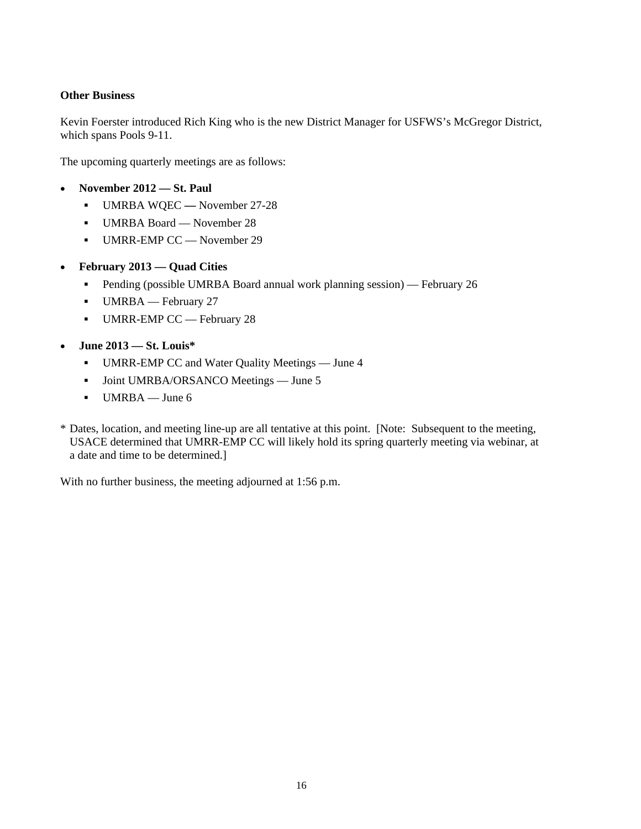## **Other Business**

Kevin Foerster introduced Rich King who is the new District Manager for USFWS's McGregor District, which spans Pools 9-11.

The upcoming quarterly meetings are as follows:

- **November 2012 — St. Paul**
	- UMRBA WQEC **—** November 27-28
	- UMRBA Board November 28
	- UMRR-EMP CC November 29
- **February 2013 — Quad Cities**
	- **Pending (possible UMRBA Board annual work planning session)** February 26
	- UMRBA February 27
	- UMRR-EMP CC February 28
- **June 2013 — St. Louis\*** 
	- UMRR-EMP CC and Water Quality Meetings June 4
	- **Joint UMRBA/ORSANCO Meetings June 5**
	- $-$  UMRBA June 6
- \* Dates, location, and meeting line-up are all tentative at this point. [Note: Subsequent to the meeting, USACE determined that UMRR-EMP CC will likely hold its spring quarterly meeting via webinar, at a date and time to be determined.]

With no further business, the meeting adjourned at 1:56 p.m.